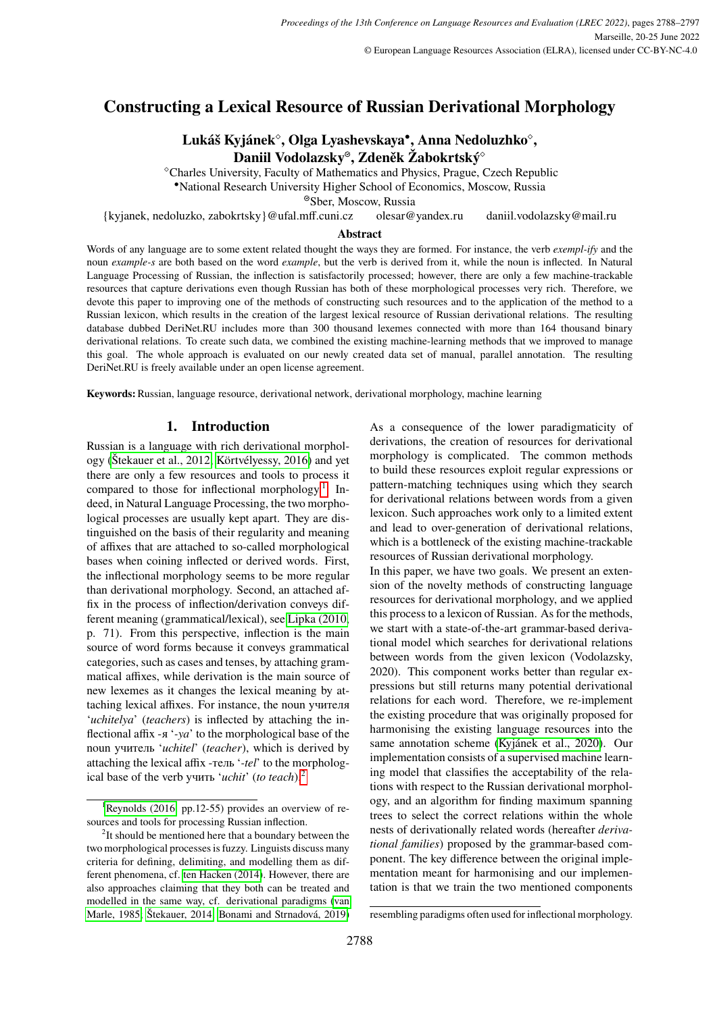# **Constructing a Lexical Resource of Russian Derivational Morphology**

# **Lukáš Kyjánek , Olga Lyashevskaya**• **, Anna Nedoluzhko ,** Daniil Vodolazsky<sup>®</sup>, Zdeněk Žabokrtský<sup>®</sup>

Charles University, Faculty of Mathematics and Physics, Prague, Czech Republic

•National Research University Higher School of Economics, Moscow, Russia

Sber, Moscow, Russia

{kyjanek, nedoluzko, zabokrtsky}@ufal.mff.cuni.cz olesar@yandex.ru daniil.vodolazsky@mail.ru

#### **Abstract**

Words of any language are to some extent related thought the ways they are formed. For instance, the verb *exempl-ify* and the noun *example-s* are both based on the word *example*, but the verb is derived from it, while the noun is inflected. In Natural Language Processing of Russian, the inflection is satisfactorily processed; however, there are only a few machine-trackable resources that capture derivations even though Russian has both of these morphological processes very rich. Therefore, we devote this paper to improving one of the methods of constructing such resources and to the application of the method to a Russian lexicon, which results in the creation of the largest lexical resource of Russian derivational relations. The resulting database dubbed DeriNet.RU includes more than 300 thousand lexemes connected with more than 164 thousand binary derivational relations. To create such data, we combined the existing machine-learning methods that we improved to manage this goal. The whole approach is evaluated on our newly created data set of manual, parallel annotation. The resulting DeriNet.RU is freely available under an open license agreement.

**Keywords:** Russian, language resource, derivational network, derivational morphology, machine learning

# **1. Introduction**

Russian is a language with rich derivational morphology [\(Štekauer et al., 2012;](#page-8-0) [Körtvélyessy, 2016\)](#page-8-1) and yet there are only a few resources and tools to process it compared to those for inflectional morphology.<sup>[1](#page-0-0)</sup> Indeed, in Natural Language Processing, the two morphological processes are usually kept apart. They are distinguished on the basis of their regularity and meaning of affixes that are attached to so-called morphological bases when coining inflected or derived words. First, the inflectional morphology seems to be more regular than derivational morphology. Second, an attached affix in the process of inflection/derivation conveys different meaning (grammatical/lexical), see [Lipka \(2010,](#page-8-2) p. 71). From this perspective, inflection is the main source of word forms because it conveys grammatical categories, such as cases and tenses, by attaching grammatical affixes, while derivation is the main source of new lexemes as it changes the lexical meaning by attaching lexical affixes. For instance, the noun учителя '*uchitelya*' (*teachers*) is inflected by attaching the inflectional affix -я '*-ya*' to the morphological base of the noun учитель '*uchitel*' (*teacher*), which is derived by attaching the lexical affix -тель '*-tel*' to the morphological base of the verb учить '*uchit*' (*to teach*).[2](#page-0-1)

As a consequence of the lower paradigmaticity of derivations, the creation of resources for derivational morphology is complicated. The common methods to build these resources exploit regular expressions or pattern-matching techniques using which they search for derivational relations between words from a given lexicon. Such approaches work only to a limited extent and lead to over-generation of derivational relations, which is a bottleneck of the existing machine-trackable resources of Russian derivational morphology.

In this paper, we have two goals. We present an extension of the novelty methods of constructing language resources for derivational morphology, and we applied this process to a lexicon of Russian. As for the methods, we start with a state-of-the-art grammar-based derivational model which searches for derivational relations between words from the given lexicon (Vodolazsky, 2020). This component works better than regular expressions but still returns many potential derivational relations for each word. Therefore, we re-implement the existing procedure that was originally proposed for harmonising the existing language resources into the same annotation scheme [\(Kyjánek et al., 2020\)](#page-8-8). Our implementation consists of a supervised machine learning model that classifies the acceptability of the relations with respect to the Russian derivational morphology, and an algorithm for finding maximum spanning trees to select the correct relations within the whole nests of derivationally related words (hereafter *derivational families*) proposed by the grammar-based component. The key difference between the original implementation meant for harmonising and our implementation is that we train the two mentioned components

<span id="page-0-0"></span><sup>&</sup>lt;sup>1</sup>[Reynolds \(2016,](#page-8-3) pp.12-55) provides an overview of resources and tools for processing Russian inflection.

<span id="page-0-1"></span><sup>&</sup>lt;sup>2</sup>It should be mentioned here that a boundary between the two morphological processes is fuzzy. Linguists discuss many criteria for defining, delimiting, and modelling them as different phenomena, cf. [ten Hacken \(2014\)](#page-8-4). However, there are also approaches claiming that they both can be treated and modelled in the same way, cf. derivational paradigms [\(van](#page-8-5) [Marle, 1985;](#page-8-5) [Štekauer, 2014;](#page-8-6) [Bonami and Strnadová, 2019\)](#page-8-7)

resembling paradigms often used for inflectional morphology.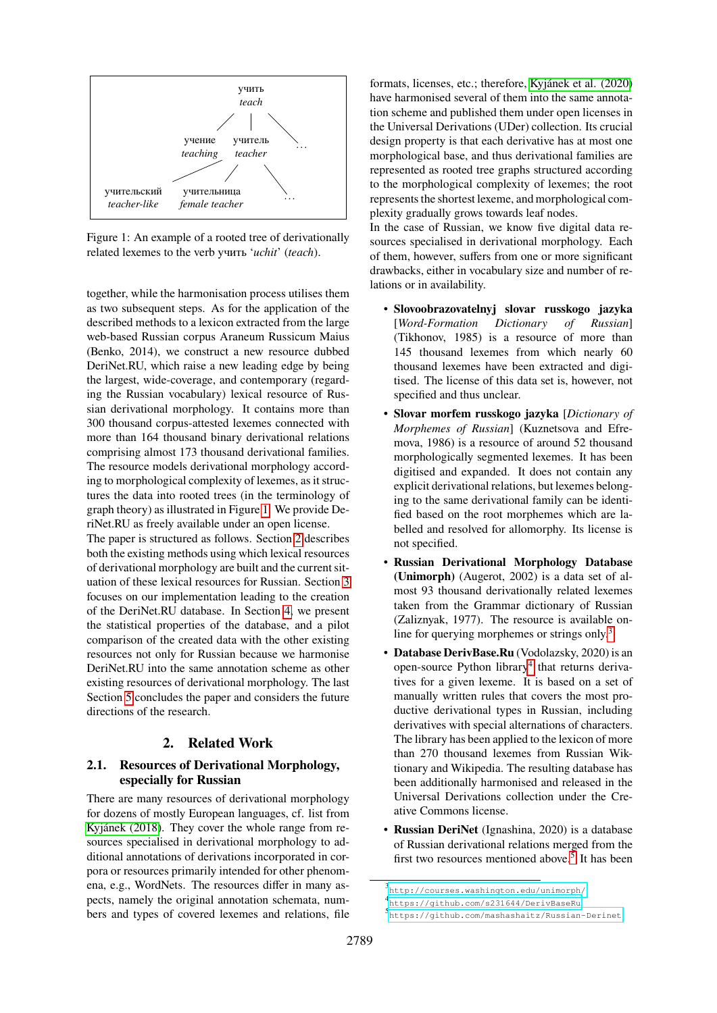<span id="page-1-0"></span>

Figure 1: An example of a rooted tree of derivationally related lexemes to the verb учить '*uchit*' (*teach*).

together, while the harmonisation process utilises them as two subsequent steps. As for the application of the described methods to a lexicon extracted from the large web-based Russian corpus Araneum Russicum Maius (Benko, 2014), we construct a new resource dubbed DeriNet.RU, which raise a new leading edge by being the largest, wide-coverage, and contemporary (regarding the Russian vocabulary) lexical resource of Russian derivational morphology. It contains more than 300 thousand corpus-attested lexemes connected with more than 164 thousand binary derivational relations comprising almost 173 thousand derivational families. The resource models derivational morphology according to morphological complexity of lexemes, as it structures the data into rooted trees (in the terminology of graph theory) as illustrated in Figure [1.](#page-1-0) We provide DeriNet.RU as freely available under an open license.

The paper is structured as follows. Section [2](#page-1-1) describes both the existing methods using which lexical resources of derivational morphology are built and the current situation of these lexical resources for Russian. Section [3](#page-2-0) focuses on our implementation leading to the creation of the DeriNet.RU database. In Section [4,](#page-6-0) we present the statistical properties of the database, and a pilot comparison of the created data with the other existing resources not only for Russian because we harmonise DeriNet.RU into the same annotation scheme as other existing resources of derivational morphology. The last Section [5](#page-7-0) concludes the paper and considers the future directions of the research.

### **2. Related Work**

#### <span id="page-1-5"></span><span id="page-1-1"></span>**2.1. Resources of Derivational Morphology, especially for Russian**

There are many resources of derivational morphology for dozens of mostly European languages, cf. list from [Kyjánek \(2018\)](#page-8-9). They cover the whole range from resources specialised in derivational morphology to additional annotations of derivations incorporated in corpora or resources primarily intended for other phenomena, e.g., WordNets. The resources differ in many aspects, namely the original annotation schemata, numbers and types of covered lexemes and relations, file

formats, licenses, etc.; therefore, [Kyjánek et al. \(2020\)](#page-8-8) have harmonised several of them into the same annotation scheme and published them under open licenses in the Universal Derivations (UDer) collection. Its crucial design property is that each derivative has at most one morphological base, and thus derivational families are represented as rooted tree graphs structured according to the morphological complexity of lexemes; the root represents the shortest lexeme, and morphological complexity gradually grows towards leaf nodes.

In the case of Russian, we know five digital data resources specialised in derivational morphology. Each of them, however, suffers from one or more significant drawbacks, either in vocabulary size and number of relations or in availability.

- **Slovoobrazovatelnyj slovar russkogo jazyka** [*Word-Formation Dictionary of Russian*] (Tikhonov, 1985) is a resource of more than 145 thousand lexemes from which nearly 60 thousand lexemes have been extracted and digitised. The license of this data set is, however, not specified and thus unclear.
- **Slovar morfem russkogo jazyka** [*Dictionary of Morphemes of Russian*] (Kuznetsova and Efremova, 1986) is a resource of around 52 thousand morphologically segmented lexemes. It has been digitised and expanded. It does not contain any explicit derivational relations, but lexemes belonging to the same derivational family can be identified based on the root morphemes which are labelled and resolved for allomorphy. Its license is not specified.
- **Russian Derivational Morphology Database (Unimorph)** (Augerot, 2002) is a data set of almost 93 thousand derivationally related lexemes taken from the Grammar dictionary of Russian (Zaliznyak, 1977). The resource is available on-line for querying morphemes or strings only.<sup>[3](#page-1-2)</sup>
- **Database DerivBase.Ru** (Vodolazsky, 2020) is an open-source Python library<sup>[4](#page-1-3)</sup> that returns derivatives for a given lexeme. It is based on a set of manually written rules that covers the most productive derivational types in Russian, including derivatives with special alternations of characters. The library has been applied to the lexicon of more than 270 thousand lexemes from Russian Wiktionary and Wikipedia. The resulting database has been additionally harmonised and released in the Universal Derivations collection under the Creative Commons license.
- **Russian DeriNet** (Ignashina, 2020) is a database of Russian derivational relations merged from the first two resources mentioned above.<sup>[5](#page-1-4)</sup> It has been

<span id="page-1-2"></span><sup>3</sup> <http://courses.washington.edu/unimorph/>

<span id="page-1-3"></span><sup>4</sup> <https://github.com/s231644/DerivBaseRu>

<span id="page-1-4"></span><sup>5</sup> <https://github.com/mashashaitz/Russian-Derinet>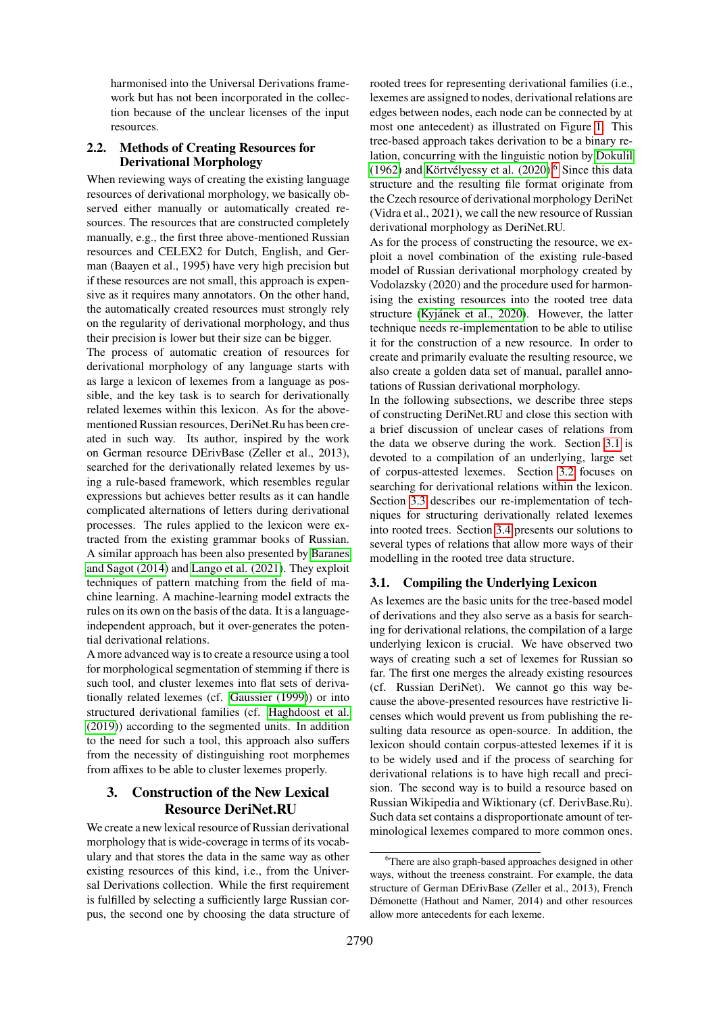harmonised into the Universal Derivations framework but has not been incorporated in the collection because of the unclear licenses of the input resources.

# **2.2. Methods of Creating Resources for Derivational Morphology**

When reviewing ways of creating the existing language resources of derivational morphology, we basically observed either manually or automatically created resources. The resources that are constructed completely manually, e.g., the first three above-mentioned Russian resources and CELEX2 for Dutch, English, and German (Baayen et al., 1995) have very high precision but if these resources are not small, this approach is expensive as it requires many annotators. On the other hand, the automatically created resources must strongly rely on the regularity of derivational morphology, and thus their precision is lower but their size can be bigger.

The process of automatic creation of resources for derivational morphology of any language starts with as large a lexicon of lexemes from a language as possible, and the key task is to search for derivationally related lexemes within this lexicon. As for the abovementioned Russian resources, DeriNet.Ru has been created in such way. Its author, inspired by the work on German resource DErivBase (Zeller et al., 2013), searched for the derivationally related lexemes by using a rule-based framework, which resembles regular expressions but achieves better results as it can handle complicated alternations of letters during derivational processes. The rules applied to the lexicon were extracted from the existing grammar books of Russian. A similar approach has been also presented by [Baranes](#page-8-10) [and Sagot \(2014\)](#page-8-10) and [Lango et al. \(2021\)](#page-8-11). They exploit techniques of pattern matching from the field of machine learning. A machine-learning model extracts the rules on its own on the basis of the data. It is a languageindependent approach, but it over-generates the potential derivational relations.

A more advanced way is to create a resource using a tool for morphological segmentation of stemming if there is such tool, and cluster lexemes into flat sets of derivationally related lexemes (cf. [Gaussier \(1999\)](#page-8-12)) or into structured derivational families (cf. [Haghdoost et al.](#page-8-13) [\(2019\)](#page-8-13)) according to the segmented units. In addition to the need for such a tool, this approach also suffers from the necessity of distinguishing root morphemes from affixes to be able to cluster lexemes properly.

# <span id="page-2-0"></span>**3. Construction of the New Lexical Resource DeriNet.RU**

We create a new lexical resource of Russian derivational morphology that is wide-coverage in terms of its vocabulary and that stores the data in the same way as other existing resources of this kind, i.e., from the Universal Derivations collection. While the first requirement is fulfilled by selecting a sufficiently large Russian corpus, the second one by choosing the data structure of rooted trees for representing derivational families (i.e., lexemes are assigned to nodes, derivational relations are edges between nodes, each node can be connected by at most one antecedent) as illustrated on Figure [1.](#page-1-0) This tree-based approach takes derivation to be a binary relation, concurring with the linguistic notion by [Dokulil](#page-8-14) [\(1962\)](#page-8-14) and Körtvélyessy et al.  $(2020)$ .<sup>[6](#page-2-1)</sup> Since this data structure and the resulting file format originate from the Czech resource of derivational morphology DeriNet (Vidra et al., 2021), we call the new resource of Russian derivational morphology as DeriNet.RU.

As for the process of constructing the resource, we exploit a novel combination of the existing rule-based model of Russian derivational morphology created by Vodolazsky (2020) and the procedure used for harmonising the existing resources into the rooted tree data structure [\(Kyjánek et al., 2020\)](#page-8-8). However, the latter technique needs re-implementation to be able to utilise it for the construction of a new resource. In order to create and primarily evaluate the resulting resource, we also create a golden data set of manual, parallel annotations of Russian derivational morphology.

In the following subsections, we describe three steps of constructing DeriNet.RU and close this section with a brief discussion of unclear cases of relations from the data we observe during the work. Section [3.1](#page-2-2) is devoted to a compilation of an underlying, large set of corpus-attested lexemes. Section [3.2](#page-3-0) focuses on searching for derivational relations within the lexicon. Section [3.3](#page-4-0) describes our re-implementation of techniques for structuring derivationally related lexemes into rooted trees. Section [3.4](#page-5-0) presents our solutions to several types of relations that allow more ways of their modelling in the rooted tree data structure.

# <span id="page-2-2"></span>**3.1. Compiling the Underlying Lexicon**

As lexemes are the basic units for the tree-based model of derivations and they also serve as a basis for searching for derivational relations, the compilation of a large underlying lexicon is crucial. We have observed two ways of creating such a set of lexemes for Russian so far. The first one merges the already existing resources (cf. Russian DeriNet). We cannot go this way because the above-presented resources have restrictive licenses which would prevent us from publishing the resulting data resource as open-source. In addition, the lexicon should contain corpus-attested lexemes if it is to be widely used and if the process of searching for derivational relations is to have high recall and precision. The second way is to build a resource based on Russian Wikipedia and Wiktionary (cf. DerivBase.Ru). Such data set contains a disproportionate amount of terminological lexemes compared to more common ones.

<span id="page-2-1"></span><sup>&</sup>lt;sup>6</sup>There are also graph-based approaches designed in other ways, without the treeness constraint. For example, the data structure of German DErivBase (Zeller et al., 2013), French Démonette (Hathout and Namer, 2014) and other resources allow more antecedents for each lexeme.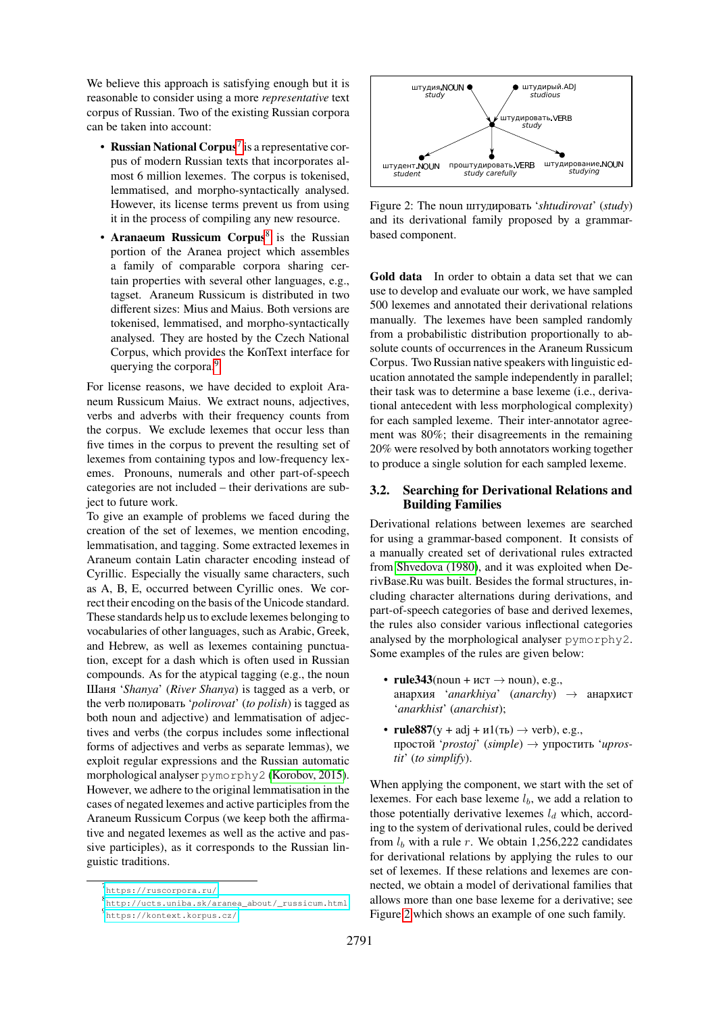We believe this approach is satisfying enough but it is reasonable to consider using a more *representative* text corpus of Russian. Two of the existing Russian corpora can be taken into account:

- **Russian National Corpus**[7](#page-3-1) is a representative corpus of modern Russian texts that incorporates almost 6 million lexemes. The corpus is tokenised, lemmatised, and morpho-syntactically analysed. However, its license terms prevent us from using it in the process of compiling any new resource.
- **Aranaeum Russicum Corpus<sup>[8](#page-3-2)</sup>** is the Russian portion of the Aranea project which assembles a family of comparable corpora sharing certain properties with several other languages, e.g., tagset. Araneum Russicum is distributed in two different sizes: Mius and Maius. Both versions are tokenised, lemmatised, and morpho-syntactically analysed. They are hosted by the Czech National Corpus, which provides the KonText interface for querying the corpora.<sup>[9](#page-3-3)</sup>

For license reasons, we have decided to exploit Araneum Russicum Maius. We extract nouns, adjectives, verbs and adverbs with their frequency counts from the corpus. We exclude lexemes that occur less than five times in the corpus to prevent the resulting set of lexemes from containing typos and low-frequency lexemes. Pronouns, numerals and other part-of-speech categories are not included – their derivations are subject to future work.

To give an example of problems we faced during the creation of the set of lexemes, we mention encoding, lemmatisation, and tagging. Some extracted lexemes in Araneum contain Latin character encoding instead of Cyrillic. Especially the visually same characters, such as А, В, Е, occurred between Cyrillic ones. We correct their encoding on the basis of the Unicode standard. These standards help us to exclude lexemes belonging to vocabularies of other languages, such as Arabic, Greek, and Hebrew, as well as lexemes containing punctuation, except for a dash which is often used in Russian compounds. As for the atypical tagging (e.g., the noun Шаня '*Shanya*' (*River Shanya*) is tagged as a verb, or the verb полировать '*polirovat*' (*to polish*) is tagged as both noun and adjective) and lemmatisation of adjectives and verbs (the corpus includes some inflectional forms of adjectives and verbs as separate lemmas), we exploit regular expressions and the Russian automatic morphological analyser pymorphy2 [\(Korobov, 2015\)](#page-8-16). However, we adhere to the original lemmatisation in the cases of negated lexemes and active participles from the Araneum Russicum Corpus (we keep both the affirmative and negated lexemes as well as the active and passive participles), as it corresponds to the Russian linguistic traditions.

<span id="page-3-4"></span>

Figure 2: The noun штудировать '*shtudirovat*' (*study*) and its derivational family proposed by a grammarbased component.

**Gold data** In order to obtain a data set that we can use to develop and evaluate our work, we have sampled 500 lexemes and annotated their derivational relations manually. The lexemes have been sampled randomly from a probabilistic distribution proportionally to absolute counts of occurrences in the Araneum Russicum Corpus. Two Russian native speakers with linguistic education annotated the sample independently in parallel; their task was to determine a base lexeme (i.e., derivational antecedent with less morphological complexity) for each sampled lexeme. Their inter-annotator agreement was 80%; their disagreements in the remaining 20% were resolved by both annotators working together to produce a single solution for each sampled lexeme.

#### <span id="page-3-0"></span>**3.2. Searching for Derivational Relations and Building Families**

Derivational relations between lexemes are searched for using a grammar-based component. It consists of a manually created set of derivational rules extracted from [Shvedova \(1980\)](#page-8-17), and it was exploited when DerivBase.Ru was built. Besides the formal structures, including character alternations during derivations, and part-of-speech categories of base and derived lexemes, the rules also consider various inflectional categories analysed by the morphological analyser pymorphy2. Some examples of the rules are given below:

- **rule343**(noun +  $\text{MCT} \rightarrow \text{noun}$ ), e.g., анархия '*anarkhiya*' (*anarchy*) → анархист '*anarkhist*' (*anarchist*);
- **rule887**( $y + adj + u1$ (ть)  $\rightarrow$  verb), e.g., простой '*prostoj*' (*simple*) → упростить '*uprostit*' (*to simplify*).

When applying the component, we start with the set of lexemes. For each base lexeme  $l<sub>b</sub>$ , we add a relation to those potentially derivative lexemes  $l_d$  which, according to the system of derivational rules, could be derived from  $l_b$  with a rule r. We obtain 1,256,222 candidates for derivational relations by applying the rules to our set of lexemes. If these relations and lexemes are connected, we obtain a model of derivational families that allows more than one base lexeme for a derivative; see Figure [2](#page-3-4) which shows an example of one such family.

<span id="page-3-1"></span><sup>7</sup><https://ruscorpora.ru/>

<span id="page-3-2"></span><sup>8</sup> [http://ucts.uniba.sk/aranea\\_about/\\_russicum.html](http://ucts.uniba.sk/aranea_about/_russicum.html)

<span id="page-3-3"></span><sup>9</sup> <https://kontext.korpus.cz/>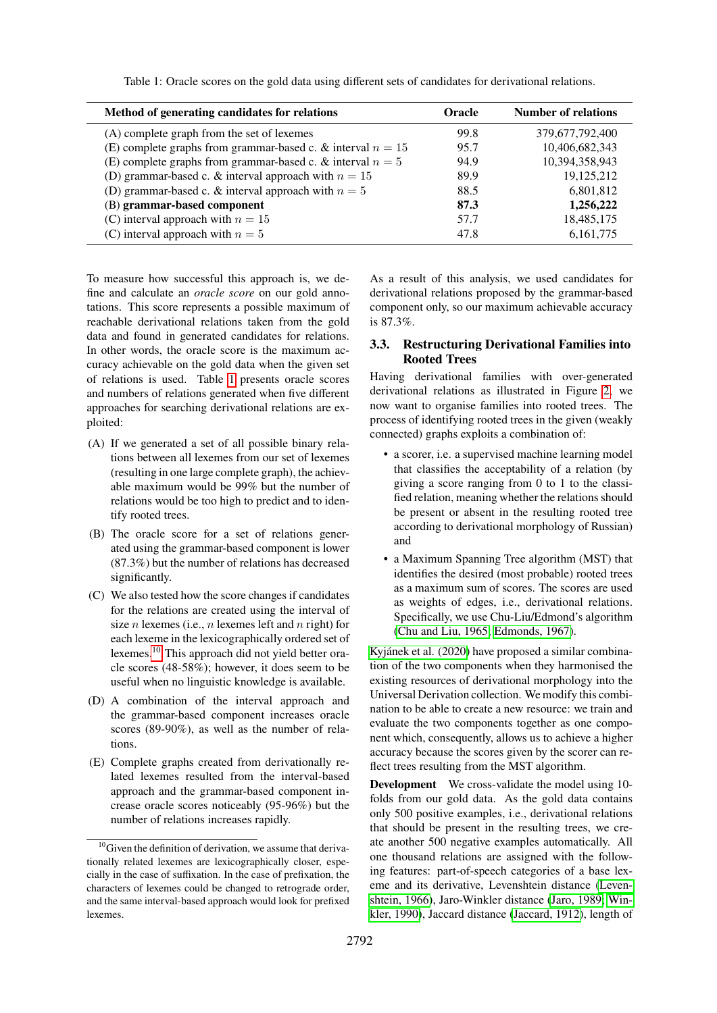Table 1: Oracle scores on the gold data using different sets of candidates for derivational relations.

<span id="page-4-1"></span>

| Method of generating candidates for relations                 | <b>Oracle</b> | <b>Number of relations</b> |
|---------------------------------------------------------------|---------------|----------------------------|
| (A) complete graph from the set of lexemes                    | 99.8          | 379,677,792,400            |
| (E) complete graphs from grammar-based c. & interval $n = 15$ | 95.7          | 10,406,682,343             |
| (E) complete graphs from grammar-based c. & interval $n = 5$  | 94.9          | 10,394,358,943             |
| (D) grammar-based c. & interval approach with $n = 15$        | 89.9          | 19,125,212                 |
| (D) grammar-based c. & interval approach with $n = 5$         | 88.5          | 6,801,812                  |
| (B) grammar-based component                                   | 87.3          | 1,256,222                  |
| (C) interval approach with $n = 15$                           | 57.7          | 18,485,175                 |
| (C) interval approach with $n = 5$                            | 47.8          | 6, 161, 775                |

To measure how successful this approach is, we define and calculate an *oracle score* on our gold annotations. This score represents a possible maximum of reachable derivational relations taken from the gold data and found in generated candidates for relations. In other words, the oracle score is the maximum accuracy achievable on the gold data when the given set of relations is used. Table [1](#page-4-1) presents oracle scores and numbers of relations generated when five different approaches for searching derivational relations are exploited:

- (A) If we generated a set of all possible binary relations between all lexemes from our set of lexemes (resulting in one large complete graph), the achievable maximum would be 99% but the number of relations would be too high to predict and to identify rooted trees.
- (B) The oracle score for a set of relations generated using the grammar-based component is lower (87.3%) but the number of relations has decreased significantly.
- (C) We also tested how the score changes if candidates for the relations are created using the interval of size *n* lexemes (i.e., *n* lexemes left and *n* right) for each lexeme in the lexicographically ordered set of lexemes.[10](#page-4-2) This approach did not yield better oracle scores (48-58%); however, it does seem to be useful when no linguistic knowledge is available.
- (D) A combination of the interval approach and the grammar-based component increases oracle scores (89-90%), as well as the number of relations.
- (E) Complete graphs created from derivationally related lexemes resulted from the interval-based approach and the grammar-based component increase oracle scores noticeably (95-96%) but the number of relations increases rapidly.

As a result of this analysis, we used candidates for derivational relations proposed by the grammar-based component only, so our maximum achievable accuracy is 87.3%.

### <span id="page-4-0"></span>**3.3. Restructuring Derivational Families into Rooted Trees**

Having derivational families with over-generated derivational relations as illustrated in Figure [2,](#page-3-4) we now want to organise families into rooted trees. The process of identifying rooted trees in the given (weakly connected) graphs exploits a combination of:

- a scorer, i.e. a supervised machine learning model that classifies the acceptability of a relation (by giving a score ranging from 0 to 1 to the classified relation, meaning whether the relations should be present or absent in the resulting rooted tree according to derivational morphology of Russian) and
- a Maximum Spanning Tree algorithm (MST) that identifies the desired (most probable) rooted trees as a maximum sum of scores. The scores are used as weights of edges, i.e., derivational relations. Specifically, we use Chu-Liu/Edmond's algorithm [\(Chu and Liu, 1965;](#page-8-18) [Edmonds, 1967\)](#page-8-19).

[Kyjánek et al. \(2020\)](#page-8-8) have proposed a similar combination of the two components when they harmonised the existing resources of derivational morphology into the Universal Derivation collection. We modify this combination to be able to create a new resource: we train and evaluate the two components together as one component which, consequently, allows us to achieve a higher accuracy because the scores given by the scorer can reflect trees resulting from the MST algorithm.

**Development** We cross-validate the model using 10 folds from our gold data. As the gold data contains only 500 positive examples, i.e., derivational relations that should be present in the resulting trees, we create another 500 negative examples automatically. All one thousand relations are assigned with the following features: part-of-speech categories of a base lexeme and its derivative, Levenshtein distance [\(Leven](#page-8-20)[shtein, 1966\)](#page-8-20), Jaro-Winkler distance [\(Jaro, 1989;](#page-8-21) [Win](#page-8-22)[kler, 1990\)](#page-8-22), Jaccard distance [\(Jaccard, 1912\)](#page-8-23), length of

<span id="page-4-2"></span> $10$ Given the definition of derivation, we assume that derivationally related lexemes are lexicographically closer, especially in the case of suffixation. In the case of prefixation, the characters of lexemes could be changed to retrograde order, and the same interval-based approach would look for prefixed lexemes.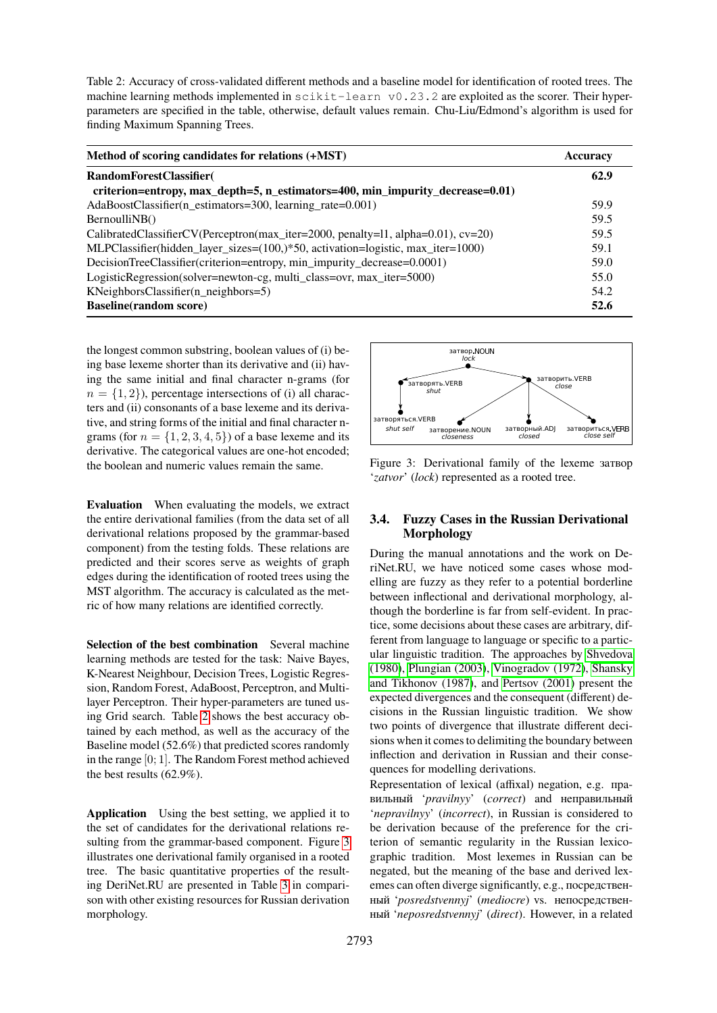<span id="page-5-1"></span>Table 2: Accuracy of cross-validated different methods and a baseline model for identification of rooted trees. The machine learning methods implemented in  $scikit-learn \ v0.23.2$  are exploited as the scorer. Their hyperparameters are specified in the table, otherwise, default values remain. Chu-Liu/Edmond's algorithm is used for finding Maximum Spanning Trees.

| Method of scoring candidates for relations (+MST)                                       | <b>Accuracy</b> |  |
|-----------------------------------------------------------------------------------------|-----------------|--|
| RandomForestClassifier(                                                                 | 62.9            |  |
| criterion=entropy, max_depth=5, n_estimators=400, min_impurity_decrease=0.01)           |                 |  |
| AdaBoostClassifier(n estimators=300, learning rate=0.001)                               | 59.9            |  |
| BernoulliNB()                                                                           | 59.5            |  |
| CalibratedClassifierCV(Perceptron(max_iter=2000, penalty=11, alpha=0.01), cv=20)        | 59.5            |  |
| MLPClassifier(hidden_layer_sizes= $(100,)*50$ , activation=logistic, max_iter= $1000$ ) | 59.1            |  |
| DecisionTreeClassifier(criterion=entropy, min_impurity_decrease=0.0001)                 | 59.0            |  |
| LogisticRegression(solver=newton-cg, multi_class=ovr, max_iter=5000)                    | 55.0            |  |
| $KN$ eighbors $Cl$ assifier $(n$ _neighbors=5)                                          | 54.2            |  |
| <b>Baseline</b> (random score)                                                          | 52.6            |  |

the longest common substring, boolean values of (i) being base lexeme shorter than its derivative and (ii) having the same initial and final character n-grams (for  $n = \{1, 2\}$ , percentage intersections of (i) all characters and (ii) consonants of a base lexeme and its derivative, and string forms of the initial and final character ngrams (for  $n = \{1, 2, 3, 4, 5\}$ ) of a base lexeme and its derivative. The categorical values are one-hot encoded; the boolean and numeric values remain the same.

**Evaluation** When evaluating the models, we extract the entire derivational families (from the data set of all derivational relations proposed by the grammar-based component) from the testing folds. These relations are predicted and their scores serve as weights of graph edges during the identification of rooted trees using the MST algorithm. The accuracy is calculated as the metric of how many relations are identified correctly.

**Selection of the best combination** Several machine learning methods are tested for the task: Naive Bayes, K-Nearest Neighbour, Decision Trees, Logistic Regression, Random Forest, AdaBoost, Perceptron, and Multilayer Perceptron. Their hyper-parameters are tuned using Grid search. Table [2](#page-5-1) shows the best accuracy obtained by each method, as well as the accuracy of the Baseline model (52.6%) that predicted scores randomly in the range [0; 1]. The Random Forest method achieved the best results (62.9%).

**Application** Using the best setting, we applied it to the set of candidates for the derivational relations resulting from the grammar-based component. Figure [3](#page-5-2) illustrates one derivational family organised in a rooted tree. The basic quantitative properties of the resulting DeriNet.RU are presented in Table [3](#page-6-1) in comparison with other existing resources for Russian derivation morphology.

<span id="page-5-2"></span>

Figure 3: Derivational family of the lexeme затвор '*zatvor*' (*lock*) represented as a rooted tree.

# <span id="page-5-0"></span>**3.4. Fuzzy Cases in the Russian Derivational Morphology**

During the manual annotations and the work on DeriNet.RU, we have noticed some cases whose modelling are fuzzy as they refer to a potential borderline between inflectional and derivational morphology, although the borderline is far from self-evident. In practice, some decisions about these cases are arbitrary, different from language to language or specific to a particular linguistic tradition. The approaches by [Shvedova](#page-8-17) [\(1980\)](#page-8-17), [Plungian \(2003\)](#page-8-24), [Vinogradov \(1972\)](#page-8-25), [Shansky](#page-8-26) [and Tikhonov \(1987\)](#page-8-26), and [Pertsov \(2001\)](#page-8-27) present the expected divergences and the consequent (different) decisions in the Russian linguistic tradition. We show two points of divergence that illustrate different decisions when it comes to delimiting the boundary between inflection and derivation in Russian and their consequences for modelling derivations.

Representation of lexical (affixal) negation, e.g. правильный '*pravilnyy*' (*correct*) and неправильный '*nepravilnyy*' (*incorrect*), in Russian is considered to be derivation because of the preference for the criterion of semantic regularity in the Russian lexicographic tradition. Most lexemes in Russian can be negated, but the meaning of the base and derived lexemes can often diverge significantly, e.g., посредственный '*posredstvennyj*' (*mediocre*) vs. непосредственный '*neposredstvennyj*' (*direct*). However, in a related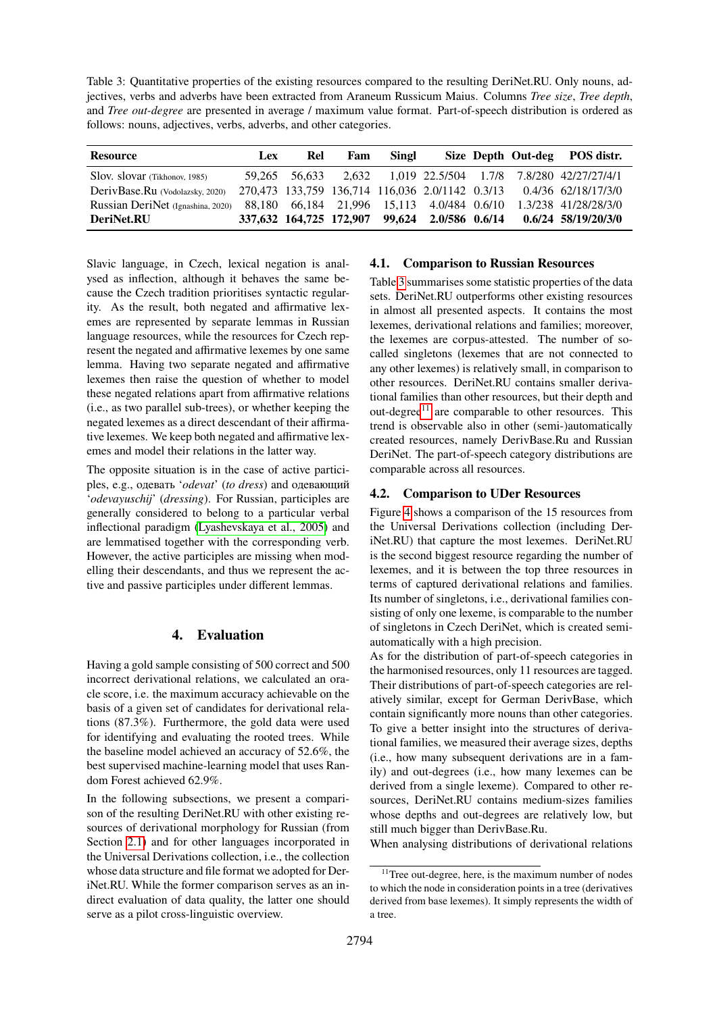<span id="page-6-1"></span>Table 3: Quantitative properties of the existing resources compared to the resulting DeriNet.RU. Only nouns, adjectives, verbs and adverbs have been extracted from Araneum Russicum Maius. Columns *Tree size*, *Tree depth*, and *Tree out-degree* are presented in average / maximum value format. Part-of-speech distribution is ordered as follows: nouns, adjectives, verbs, adverbs, and other categories.

| <b>Resource</b>                   | <b>Lex</b> | Rel | Fam | Singl |  | Size Depth Out-deg POS distr.                                       |
|-----------------------------------|------------|-----|-----|-------|--|---------------------------------------------------------------------|
| Slov. slovar (Tikhonov, 1985)     |            |     |     |       |  | 59,265 56,633 2,632 1,019 22.5/504 1.7/8 7.8/280 42/27/27/4/1       |
| DerivBase.Ru (Vodolazsky, 2020)   |            |     |     |       |  | 270,473 133,759 136,714 116,036 2.0/1142 0.3/13 0.4/36 62/18/17/3/0 |
| Russian DeriNet (Ignashina, 2020) |            |     |     |       |  | 88,180 66,184 21,996 15,113 4.0/484 0.6/10 1.3/238 41/28/28/3/0     |
| DeriNet.RU                        |            |     |     |       |  | 337,632 164,725 172,907 99,624 2.0/586 0.6/14 0.6/24 58/19/20/3/0   |

Slavic language, in Czech, lexical negation is analysed as inflection, although it behaves the same because the Czech tradition prioritises syntactic regularity. As the result, both negated and affirmative lexemes are represented by separate lemmas in Russian language resources, while the resources for Czech represent the negated and affirmative lexemes by one same lemma. Having two separate negated and affirmative lexemes then raise the question of whether to model these negated relations apart from affirmative relations (i.e., as two parallel sub-trees), or whether keeping the negated lexemes as a direct descendant of their affirmative lexemes. We keep both negated and affirmative lexemes and model their relations in the latter way.

The opposite situation is in the case of active participles, e.g., одевать '*odevat*' (*to dress*) and одевающий '*odevayuschij*' (*dressing*). For Russian, participles are generally considered to belong to a particular verbal inflectional paradigm [\(Lyashevskaya et al., 2005\)](#page-8-28) and are lemmatised together with the corresponding verb. However, the active participles are missing when modelling their descendants, and thus we represent the active and passive participles under different lemmas.

# **4. Evaluation**

<span id="page-6-0"></span>Having a gold sample consisting of 500 correct and 500 incorrect derivational relations, we calculated an oracle score, i.e. the maximum accuracy achievable on the basis of a given set of candidates for derivational relations (87.3%). Furthermore, the gold data were used for identifying and evaluating the rooted trees. While the baseline model achieved an accuracy of 52.6%, the best supervised machine-learning model that uses Random Forest achieved 62.9%.

In the following subsections, we present a comparison of the resulting DeriNet.RU with other existing resources of derivational morphology for Russian (from Section [2.1\)](#page-1-5) and for other languages incorporated in the Universal Derivations collection, i.e., the collection whose data structure and file format we adopted for DeriNet.RU. While the former comparison serves as an indirect evaluation of data quality, the latter one should serve as a pilot cross-linguistic overview.

### **4.1. Comparison to Russian Resources**

Table [3](#page-6-1) summarises some statistic properties of the data sets. DeriNet.RU outperforms other existing resources in almost all presented aspects. It contains the most lexemes, derivational relations and families; moreover, the lexemes are corpus-attested. The number of socalled singletons (lexemes that are not connected to any other lexemes) is relatively small, in comparison to other resources. DeriNet.RU contains smaller derivational families than other resources, but their depth and out-degree $11$  are comparable to other resources. This trend is observable also in other (semi-)automatically created resources, namely DerivBase.Ru and Russian DeriNet. The part-of-speech category distributions are comparable across all resources.

# **4.2. Comparison to UDer Resources**

Figure [4](#page-7-1) shows a comparison of the 15 resources from the Universal Derivations collection (including DeriNet.RU) that capture the most lexemes. DeriNet.RU is the second biggest resource regarding the number of lexemes, and it is between the top three resources in terms of captured derivational relations and families. Its number of singletons, i.e., derivational families consisting of only one lexeme, is comparable to the number of singletons in Czech DeriNet, which is created semiautomatically with a high precision.

As for the distribution of part-of-speech categories in the harmonised resources, only 11 resources are tagged. Their distributions of part-of-speech categories are relatively similar, except for German DerivBase, which contain significantly more nouns than other categories. To give a better insight into the structures of derivational families, we measured their average sizes, depths (i.e., how many subsequent derivations are in a family) and out-degrees (i.e., how many lexemes can be derived from a single lexeme). Compared to other resources, DeriNet.RU contains medium-sizes families whose depths and out-degrees are relatively low, but still much bigger than DerivBase.Ru.

When analysing distributions of derivational relations

<span id="page-6-2"></span> $11$ Tree out-degree, here, is the maximum number of nodes to which the node in consideration points in a tree (derivatives derived from base lexemes). It simply represents the width of a tree.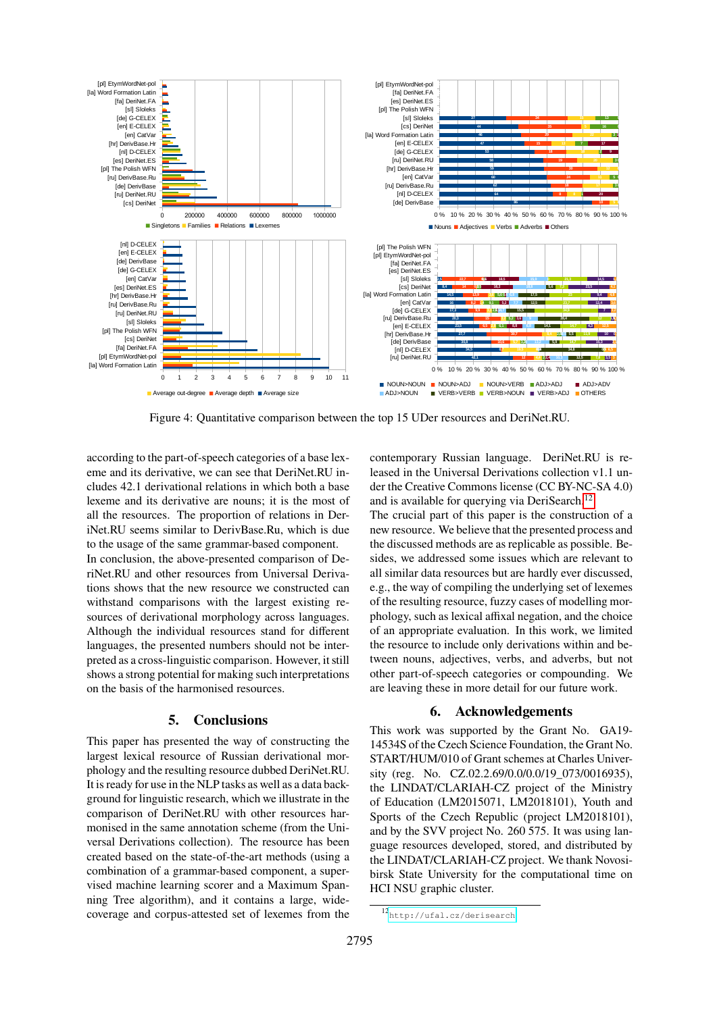<span id="page-7-1"></span>

Figure 4: Quantitative comparison between the top 15 UDer resources and DeriNet.RU.

according to the part-of-speech categories of a base lexeme and its derivative, we can see that DeriNet.RU includes 42.1 derivational relations in which both a base lexeme and its derivative are nouns; it is the most of all the resources. The proportion of relations in DeriNet.RU seems similar to DerivBase.Ru, which is due to the usage of the same grammar-based component.

In conclusion, the above-presented comparison of DeriNet.RU and other resources from Universal Derivations shows that the new resource we constructed can withstand comparisons with the largest existing resources of derivational morphology across languages. Although the individual resources stand for different languages, the presented numbers should not be interpreted as a cross-linguistic comparison. However, it still shows a strong potential for making such interpretations on the basis of the harmonised resources.

#### **5. Conclusions**

<span id="page-7-0"></span>This paper has presented the way of constructing the largest lexical resource of Russian derivational morphology and the resulting resource dubbed DeriNet.RU. It is ready for use in the NLP tasks as well as a data background for linguistic research, which we illustrate in the comparison of DeriNet.RU with other resources harmonised in the same annotation scheme (from the Universal Derivations collection). The resource has been created based on the state-of-the-art methods (using a combination of a grammar-based component, a supervised machine learning scorer and a Maximum Spanning Tree algorithm), and it contains a large, widecoverage and corpus-attested set of lexemes from the contemporary Russian language. DeriNet.RU is released in the Universal Derivations collection v1.1 under the Creative Commons license (CC BY-NC-SA 4.0) and is available for querying via DeriSearch.<sup>[12](#page-7-2)</sup>

The crucial part of this paper is the construction of a new resource. We believe that the presented process and the discussed methods are as replicable as possible. Besides, we addressed some issues which are relevant to all similar data resources but are hardly ever discussed, e.g., the way of compiling the underlying set of lexemes of the resulting resource, fuzzy cases of modelling morphology, such as lexical affixal negation, and the choice of an appropriate evaluation. In this work, we limited the resource to include only derivations within and between nouns, adjectives, verbs, and adverbs, but not other part-of-speech categories or compounding. We are leaving these in more detail for our future work.

#### **6. Acknowledgements**

This work was supported by the Grant No. GA19- 14534S of the Czech Science Foundation, the Grant No. START/HUM/010 of Grant schemes at Charles University (reg. No. CZ.02.2.69/0.0/0.0/19 073/0016935), the LINDAT/CLARIAH-CZ project of the Ministry of Education (LM2015071, LM2018101), Youth and Sports of the Czech Republic (project LM2018101), and by the SVV project No. 260 575. It was using language resources developed, stored, and distributed by the LINDAT/CLARIAH-CZ project. We thank Novosibirsk State University for the computational time on HCI NSU graphic cluster.

<span id="page-7-2"></span><sup>12</sup><http://ufal.cz/derisearch>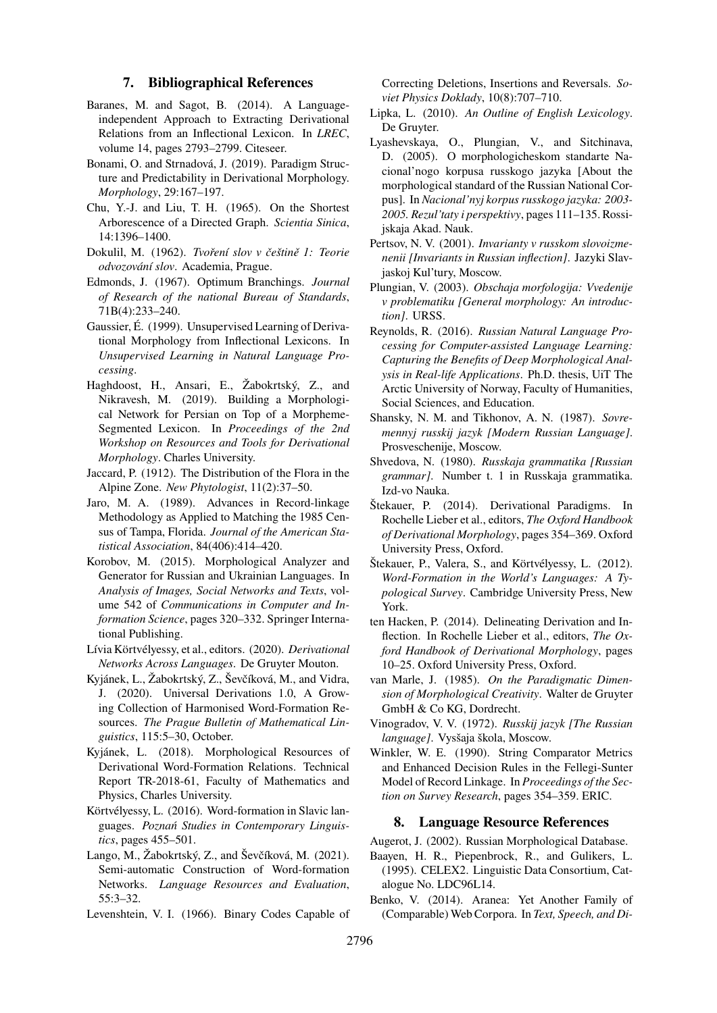#### **7. Bibliographical References**

- <span id="page-8-10"></span>Baranes, M. and Sagot, B. (2014). A Languageindependent Approach to Extracting Derivational Relations from an Inflectional Lexicon. In *LREC*, volume 14, pages 2793–2799. Citeseer.
- <span id="page-8-7"></span>Bonami, O. and Strnadová, J. (2019). Paradigm Structure and Predictability in Derivational Morphology. *Morphology*, 29:167–197.
- <span id="page-8-18"></span>Chu, Y.-J. and Liu, T. H. (1965). On the Shortest Arborescence of a Directed Graph. *Scientia Sinica*, 14:1396–1400.
- <span id="page-8-14"></span>Dokulil, M. (1962). *Tvoření slov v češtině 1: Teorie odvozování slov*. Academia, Prague.
- <span id="page-8-19"></span>Edmonds, J. (1967). Optimum Branchings. *Journal of Research of the national Bureau of Standards*, 71B(4):233–240.
- <span id="page-8-12"></span>Gaussier, É. (1999). Unsupervised Learning of Derivational Morphology from Inflectional Lexicons. In *Unsupervised Learning in Natural Language Processing*.
- <span id="page-8-13"></span>Haghdoost, H., Ansari, E., Žabokrtský, Z., and Nikravesh, M. (2019). Building a Morphological Network for Persian on Top of a Morpheme-Segmented Lexicon. In *Proceedings of the 2nd Workshop on Resources and Tools for Derivational Morphology*. Charles University.
- <span id="page-8-23"></span>Jaccard, P. (1912). The Distribution of the Flora in the Alpine Zone. *New Phytologist*, 11(2):37–50.
- <span id="page-8-21"></span>Jaro, M. A. (1989). Advances in Record-linkage Methodology as Applied to Matching the 1985 Census of Tampa, Florida. *Journal of the American Statistical Association*, 84(406):414–420.
- <span id="page-8-16"></span>Korobov, M. (2015). Morphological Analyzer and Generator for Russian and Ukrainian Languages. In *Analysis of Images, Social Networks and Texts*, volume 542 of *Communications in Computer and Information Science*, pages 320–332. Springer International Publishing.
- <span id="page-8-15"></span>Lívia Körtvélyessy, et al., editors. (2020). *Derivational Networks Across Languages*. De Gruyter Mouton.
- <span id="page-8-8"></span>Kyjánek, L., Žabokrtský, Z., Ševčíková, M., and Vidra, J. (2020). Universal Derivations 1.0, A Growing Collection of Harmonised Word-Formation Resources. *The Prague Bulletin of Mathematical Linguistics*, 115:5–30, October.
- <span id="page-8-9"></span>Kyjánek, L. (2018). Morphological Resources of Derivational Word-Formation Relations. Technical Report TR-2018-61, Faculty of Mathematics and Physics, Charles University.
- <span id="page-8-1"></span>Körtvélyessy, L. (2016). Word-formation in Slavic languages. *Poznań Studies in Contemporary Linguistics*, pages 455–501.
- <span id="page-8-11"></span>Lango, M., Žabokrtský, Z., and Ševčíková, M. (2021). Semi-automatic Construction of Word-formation Networks. *Language Resources and Evaluation*, 55:3–32.
- <span id="page-8-20"></span>Levenshtein, V. I. (1966). Binary Codes Capable of

Correcting Deletions, Insertions and Reversals. *Soviet Physics Doklady*, 10(8):707–710.

- <span id="page-8-2"></span>Lipka, L. (2010). *An Outline of English Lexicology*. De Gruyter.
- <span id="page-8-28"></span>Lyashevskaya, O., Plungian, V., and Sitchinava, D. (2005). O morphologicheskom standarte Nacional'nogo korpusa russkogo jazyka [About the morphological standard of the Russian National Corpus]. In *Nacional'nyj korpus russkogo jazyka: 2003- 2005. Rezul'taty i perspektivy*, pages 111–135. Rossijskaja Akad. Nauk.
- <span id="page-8-27"></span>Pertsov, N. V. (2001). *Invarianty v russkom slovoizmenenii [Invariants in Russian inflection]*. Jazyki Slavjaskoj Kul'tury, Moscow.
- <span id="page-8-24"></span>Plungian, V. (2003). *Obschaja morfologija: Vvedenije v problematiku [General morphology: An introduction]*. URSS.
- <span id="page-8-3"></span>Reynolds, R. (2016). *Russian Natural Language Processing for Computer-assisted Language Learning: Capturing the Benefits of Deep Morphological Analysis in Real-life Applications*. Ph.D. thesis, UiT The Arctic University of Norway, Faculty of Humanities, Social Sciences, and Education.
- <span id="page-8-26"></span>Shansky, N. M. and Tikhonov, A. N. (1987). *Sovremennyj russkij jazyk [Modern Russian Language]*. Prosveschenije, Moscow.
- <span id="page-8-17"></span>Shvedova, N. (1980). *Russkaja grammatika [Russian grammar]*. Number t. 1 in Russkaja grammatika. Izd-vo Nauka.
- <span id="page-8-6"></span>Štekauer, P. (2014). Derivational Paradigms. In Rochelle Lieber et al., editors, *The Oxford Handbook of Derivational Morphology*, pages 354–369. Oxford University Press, Oxford.
- <span id="page-8-0"></span>Štekauer, P., Valera, S., and Körtvélyessy, L. (2012). *Word-Formation in the World's Languages: A Typological Survey*. Cambridge University Press, New York.
- <span id="page-8-4"></span>ten Hacken, P. (2014). Delineating Derivation and Inflection. In Rochelle Lieber et al., editors, *The Oxford Handbook of Derivational Morphology*, pages 10–25. Oxford University Press, Oxford.
- <span id="page-8-5"></span>van Marle, J. (1985). *On the Paradigmatic Dimension of Morphological Creativity*. Walter de Gruyter GmbH & Co KG, Dordrecht.
- <span id="page-8-25"></span>Vinogradov, V. V. (1972). *Russkij jazyk [The Russian language]*. Vysšaja škola, Moscow.
- <span id="page-8-22"></span>Winkler, W. E. (1990). String Comparator Metrics and Enhanced Decision Rules in the Fellegi-Sunter Model of Record Linkage. In *Proceedings of the Section on Survey Research*, pages 354–359. ERIC.

#### **8. Language Resource References**

- Augerot, J. (2002). Russian Morphological Database.
- Baayen, H. R., Piepenbrock, R., and Gulikers, L. (1995). CELEX2. Linguistic Data Consortium, Catalogue No. LDC96L14.
- Benko, V. (2014). Aranea: Yet Another Family of (Comparable) Web Corpora. In *Text, Speech, and Di-*